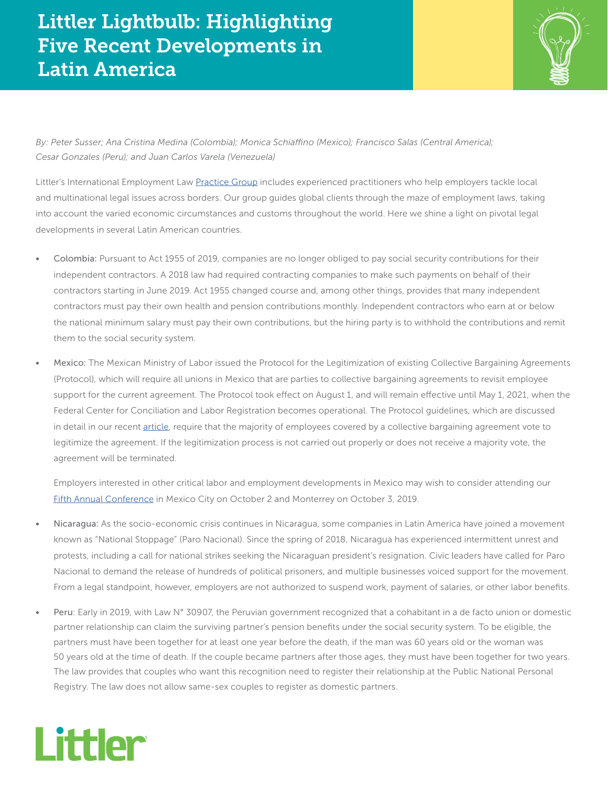## Littler Lightbulb: Highlighting Five Recent Developments in Latin America



*By: Peter Susser; Ana Cristina Medina (Colombia); Monica Schiaffino (Mexico); Francisco Salas (Central America); Cesar Gonzales (Peru); and Juan Carlos Varela (Venezuela)*

Littler's International Employment Law [Practice Group](https://www.littler.com/practice-areas/international-employment-law) includes experienced practitioners who help employers tackle local and multinational legal issues across borders. Our group guides global clients through the maze of employment laws, taking into account the varied economic circumstances and customs throughout the world. Here we shine a light on pivotal legal developments in several Latin American countries.

- Colombia: Pursuant to Act 1955 of 2019, companies are no longer obliged to pay social security contributions for their independent contractors. A 2018 law had required contracting companies to make such payments on behalf of their contractors starting in June 2019. Act 1955 changed course and, among other things, provides that many independent contractors must pay their own health and pension contributions monthly. Independent contractors who earn at or below the national minimum salary must pay their own contributions, but the hiring party is to withhold the contributions and remit them to the social security system.
- Mexico: The Mexican Ministry of Labor issued the Protocol for the Legitimization of existing Collective Bargaining Agreements (Protocol), which will require all unions in Mexico that are parties to collective bargaining agreements to revisit employee support for the current agreement. The Protocol took effect on August 1, and will remain effective until May 1, 2021, when the Federal Center for Conciliation and Labor Registration becomes operational. The Protocol guidelines, which are discussed in detail in our recent [article,](https://www.littler.com/publication-press/publication/mexican-ministry-labor-issues-protocol-legitimization-existing) require that the majority of employees covered by a collective bargaining agreement vote to legitimize the agreement. If the legitimization process is not carried out properly or does not receive a majority vote, the agreement will be terminated.

Employers interested in other critical labor and employment developments in Mexico may wish to consider attending our [Fifth Annual Conference](https://www.littler.com/events/fifth-annual-conference-mexico-city) in Mexico City on October 2 and Monterrey on October 3, 2019.

- Nicaragua: As the socio-economic crisis continues in Nicaragua, some companies in Latin America have joined a movement known as "National Stoppage" (Paro Nacional). Since the spring of 2018, Nicaragua has experienced intermittent unrest and protests, including a call for national strikes seeking the Nicaraguan president's resignation. Civic leaders have called for Paro Nacional to demand the release of hundreds of political prisoners, and multiple businesses voiced support for the movement. From a legal standpoint, however, employers are not authorized to suspend work, payment of salaries, or other labor benefits.
- Peru: Early in 2019, with Law N° 30907, the Peruvian government recognized that a cohabitant in a de facto union or domestic partner relationship can claim the surviving partner's pension benefits under the social security system. To be eligible, the partners must have been together for at least one year before the death, if the man was 60 years old or the woman was 50 years old at the time of death. If the couple became partners after those ages, they must have been together for two years. The law provides that couples who want this recognition need to register their relationship at the Public National Personal Registry. The law does not allow same-sex couples to register as domestic partners.